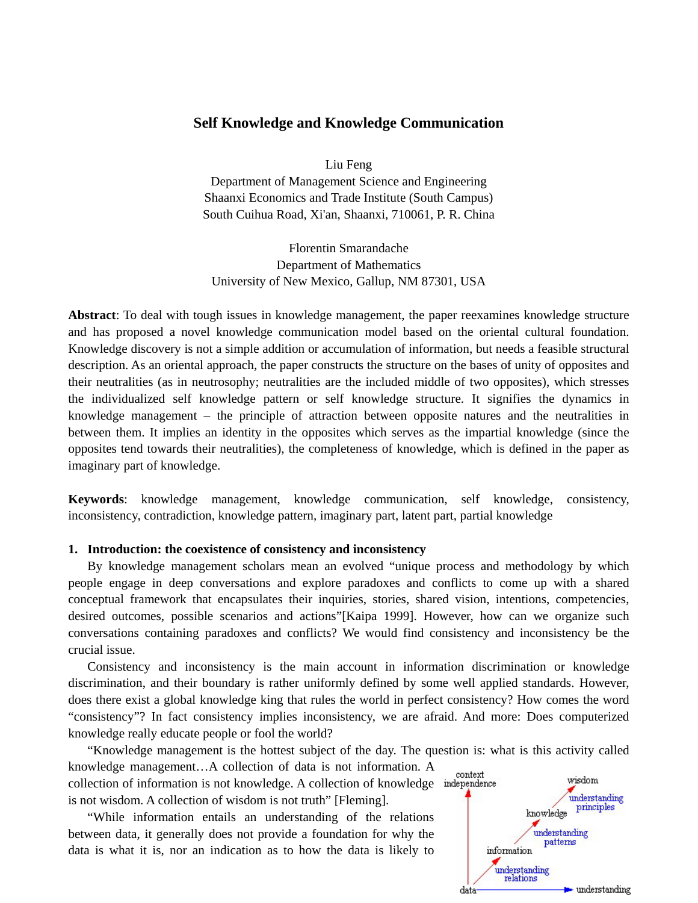## **Self Knowledge and Knowledge Communication**

Liu Feng

Department of Management Science and Engineering Shaanxi Economics and Trade Institute (South Campus) South Cuihua Road, Xi'an, Shaanxi, 710061, P. R. China

Florentin Smarandache Department of Mathematics University of New Mexico, Gallup, NM 87301, USA

**Abstract**: To deal with tough issues in knowledge management, the paper reexamines knowledge structure and has proposed a novel knowledge communication model based on the oriental cultural foundation. Knowledge discovery is not a simple addition or accumulation of information, but needs a feasible structural description. As an oriental approach, the paper constructs the structure on the bases of unity of opposites and their neutralities (as in neutrosophy; neutralities are the included middle of two opposites), which stresses the individualized self knowledge pattern or self knowledge structure. It signifies the dynamics in knowledge management – the principle of attraction between opposite natures and the neutralities in between them. It implies an identity in the opposites which serves as the impartial knowledge (since the opposites tend towards their neutralities), the completeness of knowledge, which is defined in the paper as imaginary part of knowledge.

**Keywords**: knowledge management, knowledge communication, self knowledge, consistency, inconsistency, contradiction, knowledge pattern, imaginary part, latent part, partial knowledge

#### **1. Introduction: the coexistence of consistency and inconsistency**

By knowledge management scholars mean an evolved "unique process and methodology by which people engage in deep conversations and explore paradoxes and conflicts to come up with a shared conceptual framework that encapsulates their inquiries, stories, shared vision, intentions, competencies, desired outcomes, possible scenarios and actions"[Kaipa 1999]. However, how can we organize such conversations containing paradoxes and conflicts? We would find consistency and inconsistency be the crucial issue.

Consistency and inconsistency is the main account in information discrimination or knowledge discrimination, and their boundary is rather uniformly defined by some well applied standards. However, does there exist a global knowledge king that rules the world in perfect consistency? How comes the word "consistency"? In fact consistency implies inconsistency, we are afraid. And more: Does computerized knowledge really educate people or fool the world?

"Knowledge management is the hottest subject of the day. The question is: what is this activity called knowledge management…A collection of data is not information. A

collection of information is not knowledge. A collection of knowledge is not wisdom. A collection of wisdom is not truth" [Fleming].

"While information entails an understanding of the relations between data, it generally does not provide a foundation for why the data is what it is, nor an indication as to how the data is likely to

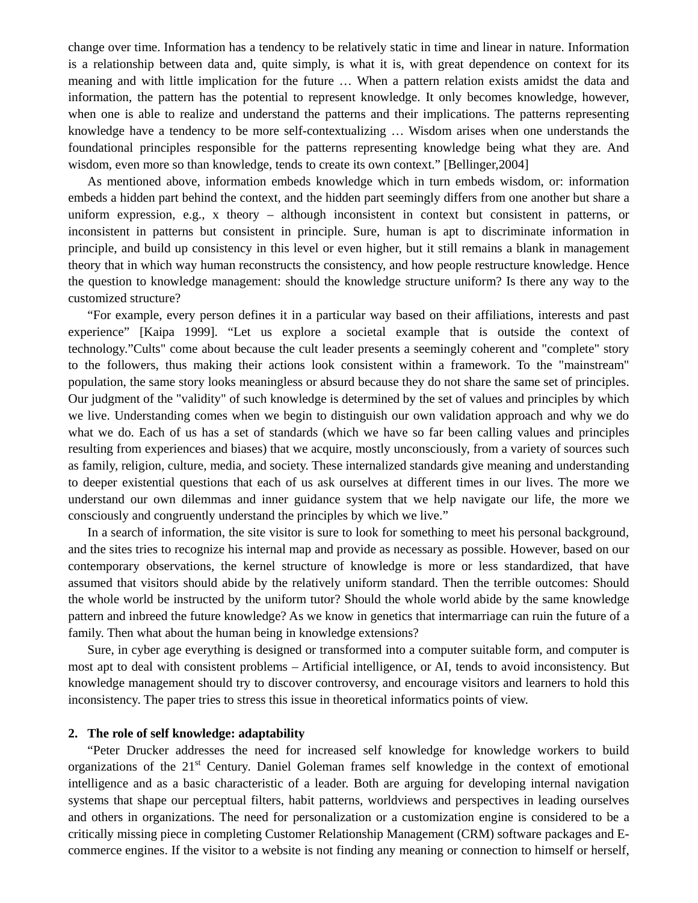change over time. Information has a tendency to be relatively static in time and linear in nature. Information is a relationship between data and, quite simply, is what it is, with great dependence on context for its meaning and with little implication for the future … When a pattern relation exists amidst the data and information, the pattern has the potential to represent knowledge. It only becomes knowledge, however, when one is able to realize and understand the patterns and their implications. The patterns representing knowledge have a tendency to be more self-contextualizing … Wisdom arises when one understands the foundational principles responsible for the patterns representing knowledge being what they are. And wisdom, even more so than knowledge, tends to create its own context." [Bellinger,2004]

As mentioned above, information embeds knowledge which in turn embeds wisdom, or: information embeds a hidden part behind the context, and the hidden part seemingly differs from one another but share a uniform expression, e.g., x theory – although inconsistent in context but consistent in patterns, or inconsistent in patterns but consistent in principle. Sure, human is apt to discriminate information in principle, and build up consistency in this level or even higher, but it still remains a blank in management theory that in which way human reconstructs the consistency, and how people restructure knowledge. Hence the question to knowledge management: should the knowledge structure uniform? Is there any way to the customized structure?

"For example, every person defines it in a particular way based on their affiliations, interests and past experience" [Kaipa 1999]. "Let us explore a societal example that is outside the context of technology."Cults" come about because the cult leader presents a seemingly coherent and "complete" story to the followers, thus making their actions look consistent within a framework. To the "mainstream" population, the same story looks meaningless or absurd because they do not share the same set of principles. Our judgment of the "validity" of such knowledge is determined by the set of values and principles by which we live. Understanding comes when we begin to distinguish our own validation approach and why we do what we do. Each of us has a set of standards (which we have so far been calling values and principles resulting from experiences and biases) that we acquire, mostly unconsciously, from a variety of sources such as family, religion, culture, media, and society. These internalized standards give meaning and understanding to deeper existential questions that each of us ask ourselves at different times in our lives. The more we understand our own dilemmas and inner guidance system that we help navigate our life, the more we consciously and congruently understand the principles by which we live."

In a search of information, the site visitor is sure to look for something to meet his personal background, and the sites tries to recognize his internal map and provide as necessary as possible. However, based on our contemporary observations, the kernel structure of knowledge is more or less standardized, that have assumed that visitors should abide by the relatively uniform standard. Then the terrible outcomes: Should the whole world be instructed by the uniform tutor? Should the whole world abide by the same knowledge pattern and inbreed the future knowledge? As we know in genetics that intermarriage can ruin the future of a family. Then what about the human being in knowledge extensions?

Sure, in cyber age everything is designed or transformed into a computer suitable form, and computer is most apt to deal with consistent problems – Artificial intelligence, or AI, tends to avoid inconsistency. But knowledge management should try to discover controversy, and encourage visitors and learners to hold this inconsistency. The paper tries to stress this issue in theoretical informatics points of view.

#### **2. The role of self knowledge: adaptability**

"Peter Drucker addresses the need for increased self knowledge for knowledge workers to build organizations of the 21<sup>st</sup> Century. Daniel Goleman frames self knowledge in the context of emotional intelligence and as a basic characteristic of a leader. Both are arguing for developing internal navigation systems that shape our perceptual filters, habit patterns, worldviews and perspectives in leading ourselves and others in organizations. The need for personalization or a customization engine is considered to be a critically missing piece in completing Customer Relationship Management (CRM) software packages and Ecommerce engines. If the visitor to a website is not finding any meaning or connection to himself or herself,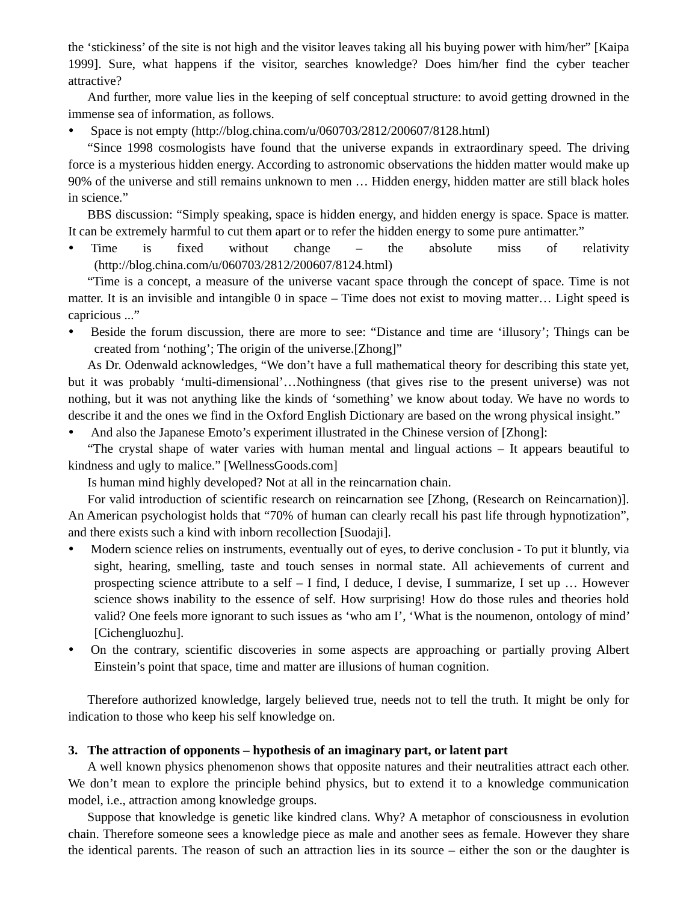the 'stickiness' of the site is not high and the visitor leaves taking all his buying power with him/her" [Kaipa 1999]. Sure, what happens if the visitor, searches knowledge? Does him/her find the cyber teacher attractive?

And further, more value lies in the keeping of self conceptual structure: to avoid getting drowned in the immense sea of information, as follows.

Space is not empty (http://blog.china.com/u/060703/2812/200607/8128.html)

"Since 1998 cosmologists have found that the universe expands in extraordinary speed. The driving force is a mysterious hidden energy. According to astronomic observations the hidden matter would make up 90% of the universe and still remains unknown to men … Hidden energy, hidden matter are still black holes in science."

BBS discussion: "Simply speaking, space is hidden energy, and hidden energy is space. Space is matter. It can be extremely harmful to cut them apart or to refer the hidden energy to some pure antimatter."

• Time is fixed without change – the absolute miss of relativity (http://blog.china.com/u/060703/2812/200607/8124.html)

"Time is a concept, a measure of the universe vacant space through the concept of space. Time is not matter. It is an invisible and intangible 0 in space – Time does not exist to moving matter… Light speed is capricious ..."

• Beside the forum discussion, there are more to see: "Distance and time are 'illusory'; Things can be created from 'nothing'; The origin of the universe.[Zhong]"

As Dr. Odenwald acknowledges, "We don't have a full mathematical theory for describing this state yet, but it was probably 'multi-dimensional'…Nothingness (that gives rise to the present universe) was not nothing, but it was not anything like the kinds of 'something' we know about today. We have no words to describe it and the ones we find in the Oxford English Dictionary are based on the wrong physical insight."

And also the Japanese Emoto's experiment illustrated in the Chinese version of [Zhong]:

"The crystal shape of water varies with human mental and lingual actions – It appears beautiful to kindness and ugly to malice." [WellnessGoods.com]

Is human mind highly developed? Not at all in the reincarnation chain.

For valid introduction of scientific research on reincarnation see [Zhong, (Research on Reincarnation)]. An American psychologist holds that "70% of human can clearly recall his past life through hypnotization", and there exists such a kind with inborn recollection [Suodaji].

- Modern science relies on instruments, eventually out of eyes, to derive conclusion To put it bluntly, via sight, hearing, smelling, taste and touch senses in normal state. All achievements of current and prospecting science attribute to a self – I find, I deduce, I devise, I summarize, I set up … However science shows inability to the essence of self. How surprising! How do those rules and theories hold valid? One feels more ignorant to such issues as 'who am I', 'What is the noumenon, ontology of mind' [Cichengluozhu].
- On the contrary, scientific discoveries in some aspects are approaching or partially proving Albert Einstein's point that space, time and matter are illusions of human cognition.

Therefore authorized knowledge, largely believed true, needs not to tell the truth. It might be only for indication to those who keep his self knowledge on.

## **3. The attraction of opponents – hypothesis of an imaginary part, or latent part**

A well known physics phenomenon shows that opposite natures and their neutralities attract each other. We don't mean to explore the principle behind physics, but to extend it to a knowledge communication model, i.e., attraction among knowledge groups.

Suppose that knowledge is genetic like kindred clans. Why? A metaphor of consciousness in evolution chain. Therefore someone sees a knowledge piece as male and another sees as female. However they share the identical parents. The reason of such an attraction lies in its source – either the son or the daughter is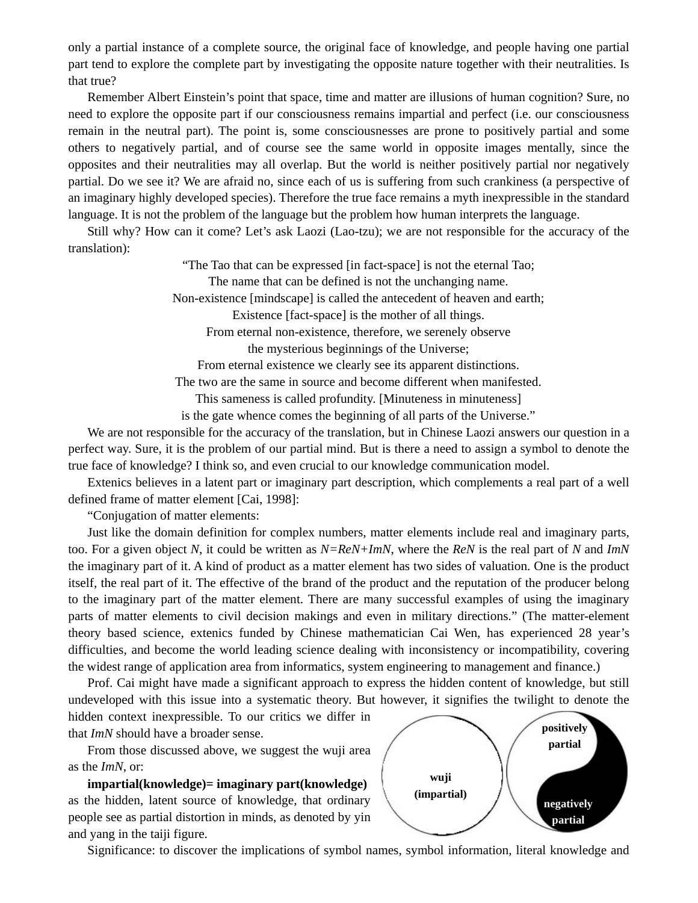only a partial instance of a complete source, the original face of knowledge, and people having one partial part tend to explore the complete part by investigating the opposite nature together with their neutralities. Is that true?

Remember Albert Einstein's point that space, time and matter are illusions of human cognition? Sure, no need to explore the opposite part if our consciousness remains impartial and perfect (i.e. our consciousness remain in the neutral part). The point is, some consciousnesses are prone to positively partial and some others to negatively partial, and of course see the same world in opposite images mentally, since the opposites and their neutralities may all overlap. But the world is neither positively partial nor negatively partial. Do we see it? We are afraid no, since each of us is suffering from such crankiness (a perspective of an imaginary highly developed species). Therefore the true face remains a myth inexpressible in the standard language. It is not the problem of the language but the problem how human interprets the language.

Still why? How can it come? Let's ask Laozi (Lao-tzu); we are not responsible for the accuracy of the translation):

> "The Tao that can be expressed [in fact-space] is not the eternal Tao; The name that can be defined is not the unchanging name.

Non-existence [mindscape] is called the antecedent of heaven and earth;

Existence [fact-space] is the mother of all things.

From eternal non-existence, therefore, we serenely observe

the mysterious beginnings of the Universe;

From eternal existence we clearly see its apparent distinctions.

The two are the same in source and become different when manifested.

This sameness is called profundity. [Minuteness in minuteness]

is the gate whence comes the beginning of all parts of the Universe."

We are not responsible for the accuracy of the translation, but in Chinese Laozi answers our question in a perfect way. Sure, it is the problem of our partial mind. But is there a need to assign a symbol to denote the true face of knowledge? I think so, and even crucial to our knowledge communication model.

Extenics believes in a latent part or imaginary part description, which complements a real part of a well defined frame of matter element [Cai, 1998]:

"Conjugation of matter elements:

Just like the domain definition for complex numbers, matter elements include real and imaginary parts, too. For a given object *N*, it could be written as *N=ReN+ImN*, where the *ReN* is the real part of *N* and *ImN* the imaginary part of it. A kind of product as a matter element has two sides of valuation. One is the product itself, the real part of it. The effective of the brand of the product and the reputation of the producer belong to the imaginary part of the matter element. There are many successful examples of using the imaginary parts of matter elements to civil decision makings and even in military directions." (The matter-element theory based science, extenics funded by Chinese mathematician Cai Wen, has experienced 28 year's difficulties, and become the world leading science dealing with inconsistency or incompatibility, covering the widest range of application area from informatics, system engineering to management and finance.)

Prof. Cai might have made a significant approach to express the hidden content of knowledge, but still undeveloped with this issue into a systematic theory. But however, it signifies the twilight to denote the

hidden context inexpressible. To our critics we differ in that *ImN* should have a broader sense.

From those discussed above, we suggest the wuji area as the *ImN*, or:

**impartial(knowledge)= imaginary part(knowledge)**  as the hidden, latent source of knowledge, that ordinary people see as partial distortion in minds, as denoted by yin and yang in the taiji figure.



Significance: to discover the implications of symbol names, symbol information, literal knowledge and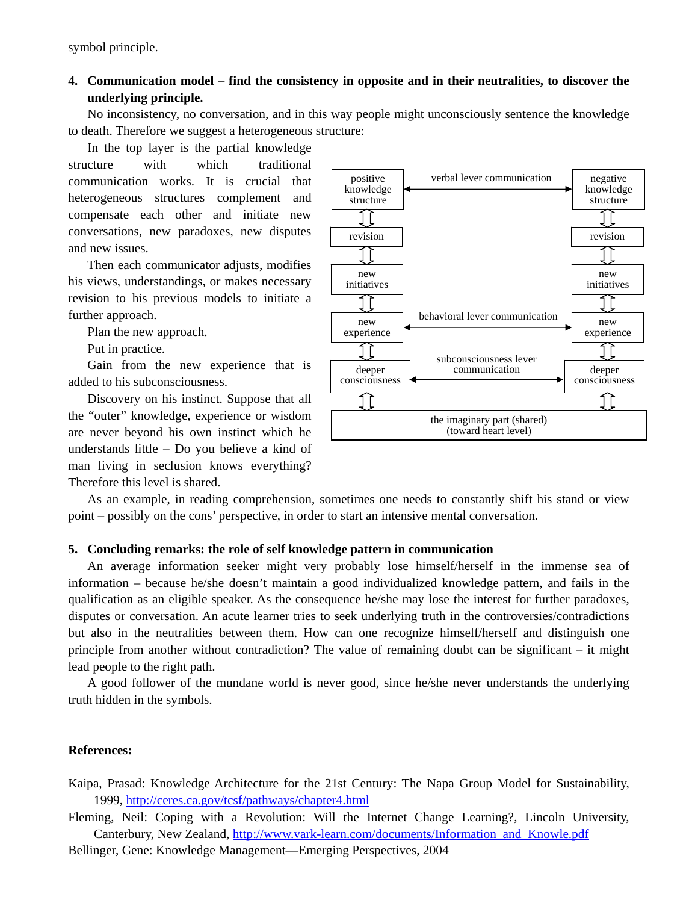symbol principle.

# **4. Communication model – find the consistency in opposite and in their neutralities, to discover the underlying principle.**

No inconsistency, no conversation, and in this way people might unconsciously sentence the knowledge to death. Therefore we suggest a heterogeneous structure:

In the top layer is the partial knowledge structure with which traditional communication works. It is crucial that heterogeneous structures complement and compensate each other and initiate new conversations, new paradoxes, new disputes and new issues.

Then each communicator adjusts, modifies his views, understandings, or makes necessary revision to his previous models to initiate a further approach.

Plan the new approach.

Put in practice.

Gain from the new experience that is added to his subconsciousness.

Discovery on his instinct. Suppose that all the "outer" knowledge, experience or wisdom are never beyond his own instinct which he understands little – Do you believe a kind of man living in seclusion knows everything? Therefore this level is shared.



As an example, in reading comprehension, sometimes one needs to constantly shift his stand or view point – possibly on the cons' perspective, in order to start an intensive mental conversation.

## **5. Concluding remarks: the role of self knowledge pattern in communication**

An average information seeker might very probably lose himself/herself in the immense sea of information – because he/she doesn't maintain a good individualized knowledge pattern, and fails in the qualification as an eligible speaker. As the consequence he/she may lose the interest for further paradoxes, disputes or conversation. An acute learner tries to seek underlying truth in the controversies/contradictions but also in the neutralities between them. How can one recognize himself/herself and distinguish one principle from another without contradiction? The value of remaining doubt can be significant – it might lead people to the right path.

A good follower of the mundane world is never good, since he/she never understands the underlying truth hidden in the symbols.

## **References:**

- Kaipa, Prasad: Knowledge Architecture for the 21st Century: The Napa Group Model for Sustainability, 1999, http://ceres.ca.gov/tcsf/pathways/chapter4.html
- Fleming, Neil: Coping with a Revolution: Will the Internet Change Learning?, Lincoln University, Canterbury, New Zealand, http://www.vark-learn.com/documents/Information\_and\_Knowle.pdf

Bellinger, Gene: Knowledge Management—Emerging Perspectives, 2004